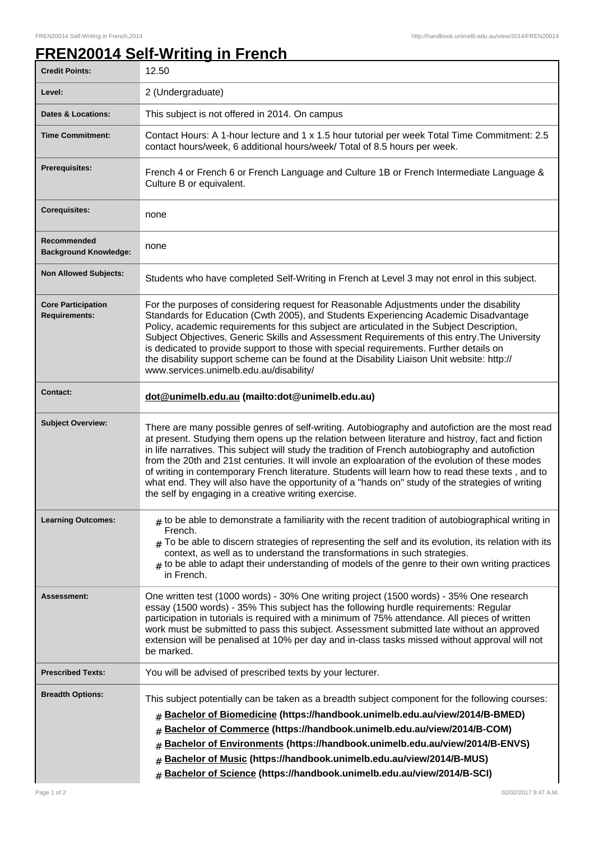## **FREN20014 Self-Writing in French**

| <b>Credit Points:</b>                             | 12.50                                                                                                                                                                                                                                                                                                                                                                                                                                                                                                                                                                                                                                                                         |
|---------------------------------------------------|-------------------------------------------------------------------------------------------------------------------------------------------------------------------------------------------------------------------------------------------------------------------------------------------------------------------------------------------------------------------------------------------------------------------------------------------------------------------------------------------------------------------------------------------------------------------------------------------------------------------------------------------------------------------------------|
| Level:                                            | 2 (Undergraduate)                                                                                                                                                                                                                                                                                                                                                                                                                                                                                                                                                                                                                                                             |
| <b>Dates &amp; Locations:</b>                     | This subject is not offered in 2014. On campus                                                                                                                                                                                                                                                                                                                                                                                                                                                                                                                                                                                                                                |
| <b>Time Commitment:</b>                           | Contact Hours: A 1-hour lecture and 1 x 1.5 hour tutorial per week Total Time Commitment: 2.5<br>contact hours/week, 6 additional hours/week/ Total of 8.5 hours per week.                                                                                                                                                                                                                                                                                                                                                                                                                                                                                                    |
| <b>Prerequisites:</b>                             | French 4 or French 6 or French Language and Culture 1B or French Intermediate Language &<br>Culture B or equivalent.                                                                                                                                                                                                                                                                                                                                                                                                                                                                                                                                                          |
| <b>Corequisites:</b>                              | none                                                                                                                                                                                                                                                                                                                                                                                                                                                                                                                                                                                                                                                                          |
| Recommended<br><b>Background Knowledge:</b>       | none                                                                                                                                                                                                                                                                                                                                                                                                                                                                                                                                                                                                                                                                          |
| <b>Non Allowed Subjects:</b>                      | Students who have completed Self-Writing in French at Level 3 may not enrol in this subject.                                                                                                                                                                                                                                                                                                                                                                                                                                                                                                                                                                                  |
| <b>Core Participation</b><br><b>Requirements:</b> | For the purposes of considering request for Reasonable Adjustments under the disability<br>Standards for Education (Cwth 2005), and Students Experiencing Academic Disadvantage<br>Policy, academic requirements for this subject are articulated in the Subject Description,<br>Subject Objectives, Generic Skills and Assessment Requirements of this entry. The University<br>is dedicated to provide support to those with special requirements. Further details on<br>the disability support scheme can be found at the Disability Liaison Unit website: http://<br>www.services.unimelb.edu.au/disability/                                                              |
| <b>Contact:</b>                                   | dot@unimelb.edu.au (mailto:dot@unimelb.edu.au)                                                                                                                                                                                                                                                                                                                                                                                                                                                                                                                                                                                                                                |
| <b>Subject Overview:</b>                          | There are many possible genres of self-writing. Autobiography and autofiction are the most read<br>at present. Studying them opens up the relation between literature and histroy, fact and fiction<br>in life narratives. This subject will study the tradition of French autobiography and autofiction<br>from the 20th and 21st centuries. It will invole an exploaration of the evolution of these modes<br>of writing in contemporary French literature. Students will learn how to read these texts, and to<br>what end. They will also have the opportunity of a "hands on" study of the strategies of writing<br>the self by engaging in a creative writing exercise. |
| <b>Learning Outcomes:</b>                         | $_{\#}$ to be able to demonstrate a familiarity with the recent tradition of autobiographical writing in<br>French.<br>$*$ To be able to discern strategies of representing the self and its evolution, its relation with its<br>context, as well as to understand the transformations in such strategies.<br>$#$ to be able to adapt their understanding of models of the genre to their own writing practices<br>in French.                                                                                                                                                                                                                                                 |
| <b>Assessment:</b>                                | One written test (1000 words) - 30% One writing project (1500 words) - 35% One research<br>essay (1500 words) - 35% This subject has the following hurdle requirements: Regular<br>participation in tutorials is required with a minimum of 75% attendance. All pieces of written<br>work must be submitted to pass this subject. Assessment submitted late without an approved<br>extension will be penalised at 10% per day and in-class tasks missed without approval will not<br>be marked.                                                                                                                                                                               |
| <b>Prescribed Texts:</b>                          | You will be advised of prescribed texts by your lecturer.                                                                                                                                                                                                                                                                                                                                                                                                                                                                                                                                                                                                                     |
| <b>Breadth Options:</b>                           | This subject potentially can be taken as a breadth subject component for the following courses:<br>Bachelor of Biomedicine (https://handbook.unimelb.edu.au/view/2014/B-BMED)<br>#<br>Bachelor of Commerce (https://handbook.unimelb.edu.au/view/2014/B-COM)<br>#<br>Bachelor of Environments (https://handbook.unimelb.edu.au/view/2014/B-ENVS)<br>#<br>Bachelor of Music (https://handbook.unimelb.edu.au/view/2014/B-MUS)<br>#<br>Bachelor of Science (https://handbook.unimelb.edu.au/view/2014/B-SCI)<br>$\pm$                                                                                                                                                           |